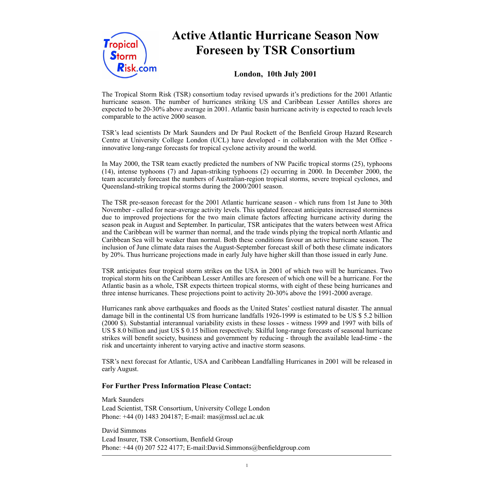

# **Active Atlantic Hurricane Season Now Foreseen by TSR Consortium**

# **London, 10th July 2001**

The Tropical Storm Risk (TSR) consortium today revised upwards it's predictions for the 2001 Atlantic hurricane season. The number of hurricanes striking US and Caribbean Lesser Antilles shores are expected to be 20-30% above average in 2001. Atlantic basin hurricane activity is expected to reach levels comparable to the active 2000 season.

TSR's lead scientists Dr Mark Saunders and Dr Paul Rockett of the Benfield Group Hazard Research Centre at University College London (UCL) have developed - in collaboration with the Met Office innovative long-range forecasts for tropical cyclone activity around the world.

In May 2000, the TSR team exactly predicted the numbers of NW Pacific tropical storms (25), typhoons (14), intense typhoons (7) and Japan-striking typhoons (2) occurring in 2000. In December 2000, the team accurately forecast the numbers of Australian-region tropical storms, severe tropical cyclones, and Queensland-striking tropical storms during the 2000/2001 season.

The TSR pre-season forecast for the 2001 Atlantic hurricane season - which runs from 1st June to 30th November - called for near-average activity levels. This updated forecast anticipates increased storminess due to improved projections for the two main climate factors affecting hurricane activity during the season peak in August and September. In particular, TSR anticipates that the waters between west Africa and the Caribbean will be warmer than normal, and the trade winds plying the tropical north Atlantic and Caribbean Sea will be weaker than normal. Both these conditions favour an active hurricane season. The inclusion of June climate data raises the August-September forecast skill of both these climate indicators by 20%. Thus hurricane projections made in early July have higher skill than those issued in early June.

TSR anticipates four tropical storm strikes on the USA in 2001 of which two will be hurricanes. Two tropical storm hits on the Caribbean Lesser Antilles are foreseen of which one will be a hurricane. For the Atlantic basin as a whole, TSR expects thirteen tropical storms, with eight of these being hurricanes and three intense hurricanes. These projections point to activity 20-30% above the 1991-2000 average.

Hurricanes rank above earthquakes and floods as the United States' costliest natural disaster. The annual damage bill in the continental US from hurricane landfalls 1926-1999 is estimated to be US \$ 5.2 billion (2000 \$). Substantial interannual variability exists in these losses - witness 1999 and 1997 with bills of US \$ 8.0 billion and just US \$ 0.15 billion respectively. Skilful long-range forecasts of seasonal hurricane strikes will benefit society, business and government by reducing - through the available lead-time - the risk and uncertainty inherent to varying active and inactive storm seasons.

TSR's next forecast for Atlantic, USA and Caribbean Landfalling Hurricanes in 2001 will be released in early August.

### **For Further Press Information Please Contact:**

Mark Saunders Lead Scientist, TSR Consortium, University College London Phone: +44 (0) 1483 204187; E-mail: mas@mssl.ucl.ac.uk

David Simmons Lead Insurer, TSR Consortium, Benfield Group Phone: +44 (0) 207 522 4177; E-mail:David.Simmons@benfieldgroup.com